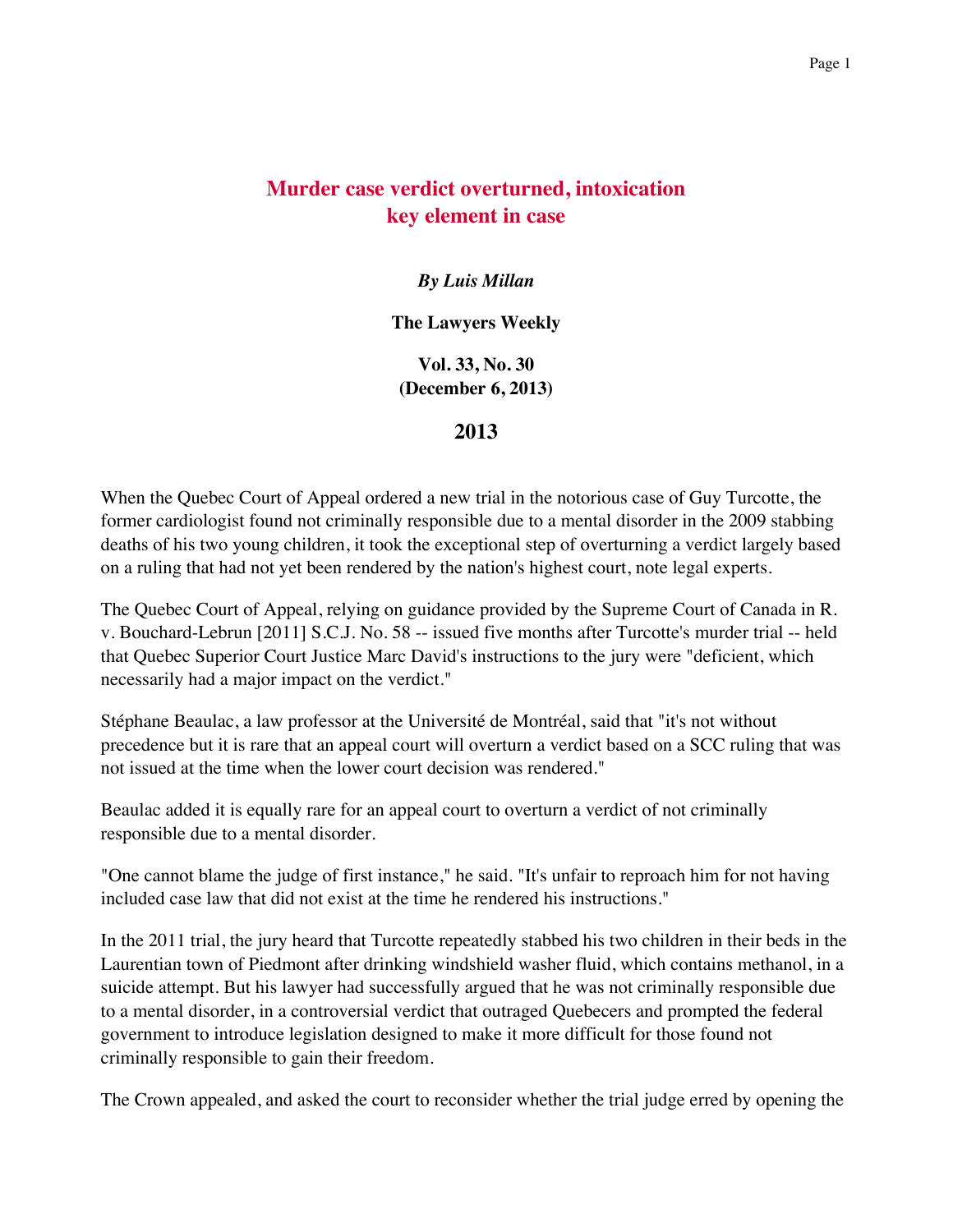## **Murder case verdict overturned, intoxication key element in case**

## *By Luis Millan*

## **The Lawyers Weekly**

**Vol. 33, No. 30 (December 6, 2013)**

## **2013**

When the Quebec Court of Appeal ordered a new trial in the notorious case of Guy Turcotte, the former cardiologist found not criminally responsible due to a mental disorder in the 2009 stabbing deaths of his two young children, it took the exceptional step of overturning a verdict largely based on a ruling that had not yet been rendered by the nation's highest court, note legal experts.

The Quebec Court of Appeal, relying on guidance provided by the Supreme Court of Canada in R. v. Bouchard-Lebrun [2011] S.C.J. No. 58 -- issued five months after Turcotte's murder trial -- held that Quebec Superior Court Justice Marc David's instructions to the jury were "deficient, which necessarily had a major impact on the verdict."

Stéphane Beaulac, a law professor at the Université de Montréal, said that "it's not without precedence but it is rare that an appeal court will overturn a verdict based on a SCC ruling that was not issued at the time when the lower court decision was rendered."

Beaulac added it is equally rare for an appeal court to overturn a verdict of not criminally responsible due to a mental disorder.

"One cannot blame the judge of first instance," he said. "It's unfair to reproach him for not having included case law that did not exist at the time he rendered his instructions."

In the 2011 trial, the jury heard that Turcotte repeatedly stabbed his two children in their beds in the Laurentian town of Piedmont after drinking windshield washer fluid, which contains methanol, in a suicide attempt. But his lawyer had successfully argued that he was not criminally responsible due to a mental disorder, in a controversial verdict that outraged Quebecers and prompted the federal government to introduce legislation designed to make it more difficult for those found not criminally responsible to gain their freedom.

The Crown appealed, and asked the court to reconsider whether the trial judge erred by opening the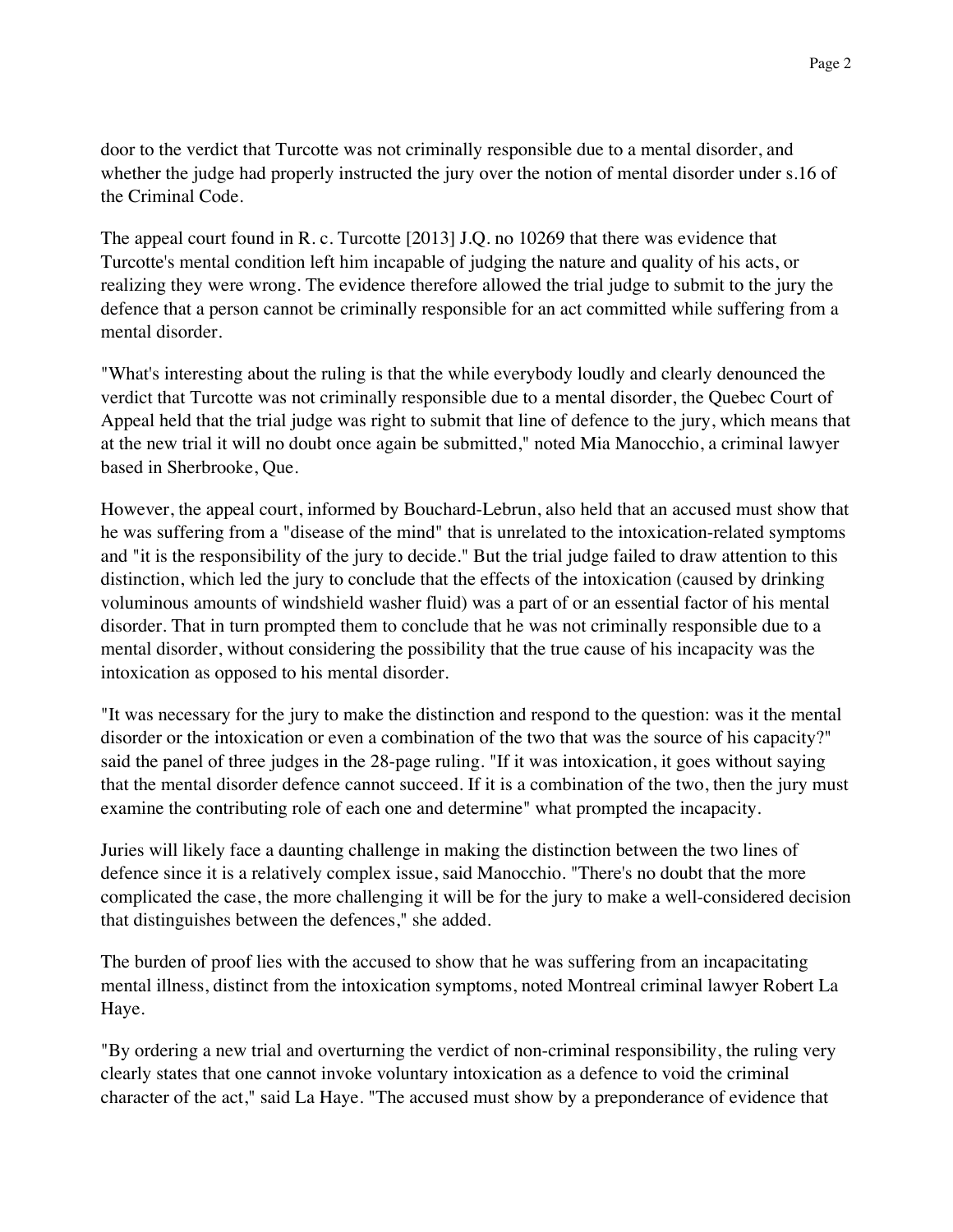door to the verdict that Turcotte was not criminally responsible due to a mental disorder, and whether the judge had properly instructed the jury over the notion of mental disorder under s.16 of the Criminal Code.

The appeal court found in R. c. Turcotte [2013] J.Q. no 10269 that there was evidence that Turcotte's mental condition left him incapable of judging the nature and quality of his acts, or realizing they were wrong. The evidence therefore allowed the trial judge to submit to the jury the defence that a person cannot be criminally responsible for an act committed while suffering from a mental disorder.

"What's interesting about the ruling is that the while everybody loudly and clearly denounced the verdict that Turcotte was not criminally responsible due to a mental disorder, the Quebec Court of Appeal held that the trial judge was right to submit that line of defence to the jury, which means that at the new trial it will no doubt once again be submitted," noted Mia Manocchio, a criminal lawyer based in Sherbrooke, Que.

However, the appeal court, informed by Bouchard-Lebrun, also held that an accused must show that he was suffering from a "disease of the mind" that is unrelated to the intoxication-related symptoms and "it is the responsibility of the jury to decide." But the trial judge failed to draw attention to this distinction, which led the jury to conclude that the effects of the intoxication (caused by drinking voluminous amounts of windshield washer fluid) was a part of or an essential factor of his mental disorder. That in turn prompted them to conclude that he was not criminally responsible due to a mental disorder, without considering the possibility that the true cause of his incapacity was the intoxication as opposed to his mental disorder.

"It was necessary for the jury to make the distinction and respond to the question: was it the mental disorder or the intoxication or even a combination of the two that was the source of his capacity?" said the panel of three judges in the 28-page ruling. "If it was intoxication, it goes without saying that the mental disorder defence cannot succeed. If it is a combination of the two, then the jury must examine the contributing role of each one and determine" what prompted the incapacity.

Juries will likely face a daunting challenge in making the distinction between the two lines of defence since it is a relatively complex issue, said Manocchio. "There's no doubt that the more complicated the case, the more challenging it will be for the jury to make a well-considered decision that distinguishes between the defences," she added.

The burden of proof lies with the accused to show that he was suffering from an incapacitating mental illness, distinct from the intoxication symptoms, noted Montreal criminal lawyer Robert La Haye.

"By ordering a new trial and overturning the verdict of non-criminal responsibility, the ruling very clearly states that one cannot invoke voluntary intoxication as a defence to void the criminal character of the act," said La Haye. "The accused must show by a preponderance of evidence that